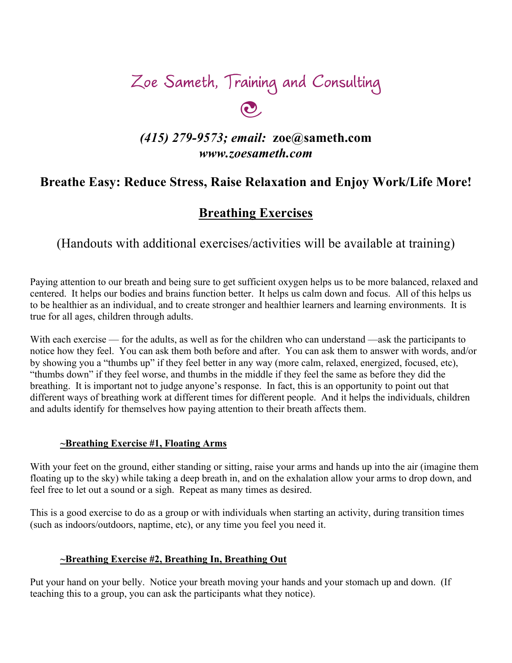# Zoe Sameth, Training and Consulting

# *(415) 279-9573; email:* **zoe@sameth.com** *www.zoesameth.com*

# **Breathe Easy: Reduce Stress, Raise Relaxation and Enjoy Work/Life More!**

## **Breathing Exercises**

(Handouts with additional exercises/activities will be available at training)

Paying attention to our breath and being sure to get sufficient oxygen helps us to be more balanced, relaxed and centered. It helps our bodies and brains function better. It helps us calm down and focus. All of this helps us to be healthier as an individual, and to create stronger and healthier learners and learning environments. It is true for all ages, children through adults.

With each exercise — for the adults, as well as for the children who can understand —ask the participants to notice how they feel. You can ask them both before and after. You can ask them to answer with words, and/or by showing you a "thumbs up" if they feel better in any way (more calm, relaxed, energized, focused, etc), "thumbs down" if they feel worse, and thumbs in the middle if they feel the same as before they did the breathing. It is important not to judge anyone's response. In fact, this is an opportunity to point out that different ways of breathing work at different times for different people. And it helps the individuals, children and adults identify for themselves how paying attention to their breath affects them.

#### **~Breathing Exercise #1, Floating Arms**

With your feet on the ground, either standing or sitting, raise your arms and hands up into the air (imagine them floating up to the sky) while taking a deep breath in, and on the exhalation allow your arms to drop down, and feel free to let out a sound or a sigh. Repeat as many times as desired.

This is a good exercise to do as a group or with individuals when starting an activity, during transition times (such as indoors/outdoors, naptime, etc), or any time you feel you need it.

## **~Breathing Exercise #2, Breathing In, Breathing Out**

Put your hand on your belly. Notice your breath moving your hands and your stomach up and down. (If teaching this to a group, you can ask the participants what they notice).